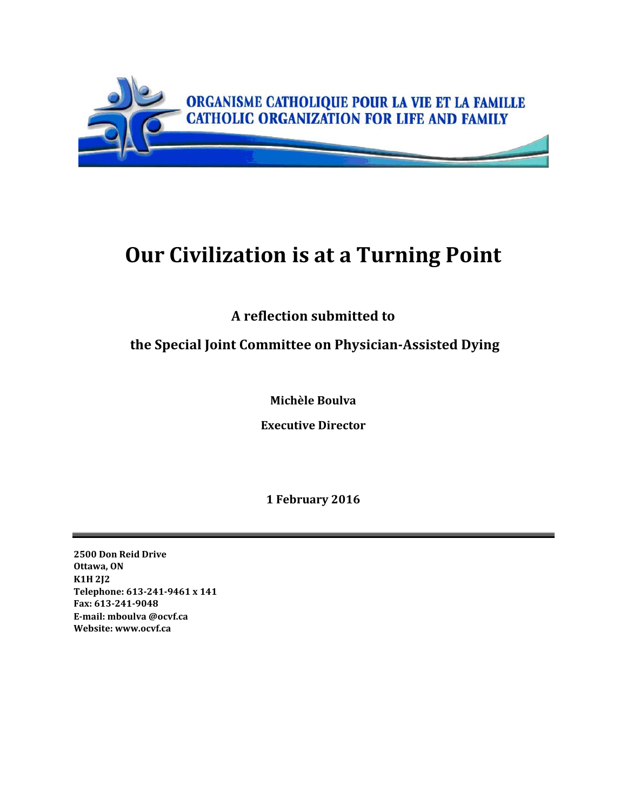

# **Our Civilization is at a Turning Point**

**A reflection submitted to**

# **the Special Joint Committee on PhysicianAssisted Dying**

**Michèle Boulva**

**Executive Director**

**1 February 2016**

**2500 Don Reid Drive Ottawa, ON K1H 2J2 Telephone: 6132419461 x 141 Fax: 6132419048 Email: mboulva @ocvf.ca Website: www.ocvf.ca**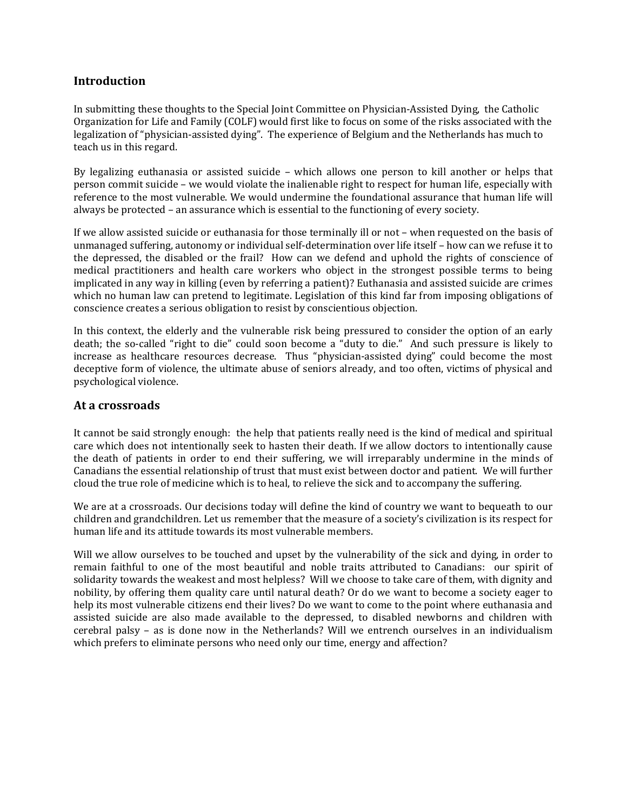## **Introduction**

In submitting these thoughts to the Special Joint Committee on Physician‐Assisted Dying, the Catholic Organization for Life and Family (COLF) would first like to focus on some of the risks associated with the legalization of "physician-assisted dying". The experience of Belgium and the Netherlands has much to teach us in this regard.

By legalizing euthanasia or assisted suicide - which allows one person to kill another or helps that person commit suicide – we would violate the inalienable right to respect for human life, especially with reference to the most vulnerable. We would undermine the foundational assurance that human life will always be protected – an assurance which is essential to the functioning of every society.

If we allow assisted suicide or euthanasia for those terminally ill or not – when requested on the basis of unmanaged suffering, autonomy or individual self‐determination over life itself – how can we refuse it to the depressed, the disabled or the frail? How can we defend and uphold the rights of conscience of medical practitioners and health care workers who object in the strongest possible terms to being implicated in any way in killing (even by referring a patient)? Euthanasia and assisted suicide are crimes which no human law can pretend to legitimate. Legislation of this kind far from imposing obligations of conscience creates a serious obligation to resist by conscientious objection.

In this context, the elderly and the vulnerable risk being pressured to consider the option of an early death; the so-called "right to die" could soon become a "duty to die." And such pressure is likely to increase as healthcare resources decrease. Thus "physician-assisted dying" could become the most deceptive form of violence, the ultimate abuse of seniors already, and too often, victims of physical and psychological violence.

#### **At a crossroads**

It cannot be said strongly enough: the help that patients really need is the kind of medical and spiritual care which does not intentionally seek to hasten their death. If we allow doctors to intentionally cause the death of patients in order to end their suffering, we will irreparably undermine in the minds of Canadians the essential relationship of trust that must exist between doctor and patient. We will further cloud the true role of medicine which is to heal, to relieve the sick and to accompany the suffering.

We are at a crossroads. Our decisions today will define the kind of country we want to bequeath to our children and grandchildren. Let us remember that the measure of a society's civilization is its respect for human life and its attitude towards its most vulnerable members.

Will we allow ourselves to be touched and upset by the vulnerability of the sick and dying, in order to remain faithful to one of the most beautiful and noble traits attributed to Canadians: our spirit of solidarity towards the weakest and most helpless? Will we choose to take care of them, with dignity and nobility, by offering them quality care until natural death? Or do we want to become a society eager to help its most vulnerable citizens end their lives? Do we want to come to the point where euthanasia and assisted suicide are also made available to the depressed, to disabled newborns and children with cerebral palsy – as is done now in the Netherlands? Will we entrench ourselves in an individualism which prefers to eliminate persons who need only our time, energy and affection?